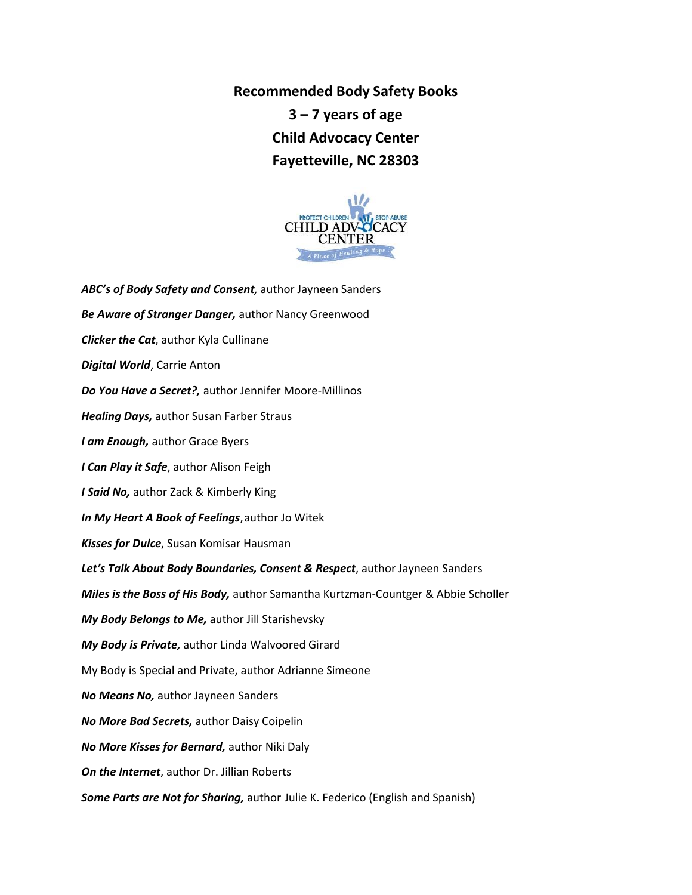**Recommended Body Safety Books 3 – 7 years of age Child Advocacy Center Fayetteville, NC 28303**



*ABC's of Body Safety and Consent,* author Jayneen Sanders *Be Aware of Stranger Danger,* author Nancy Greenwood *Clicker the Cat*, author Kyla Cullinane *Digital World*, Carrie Anton *Do You Have a Secret?,* author Jennifer Moore-Millinos *Healing Days,* author Susan Farber Straus *I am Enough,* author Grace Byers *I Can Play it Safe*, author Alison Feigh *I Said No,* author Zack & Kimberly King *In My Heart A Book of Feelings*,author Jo Witek *Kisses for Dulce*, Susan Komisar Hausman *Let's Talk About Body Boundaries, Consent & Respect*, author Jayneen Sanders *Miles is the Boss of His Body,* author Samantha Kurtzman-Countger & Abbie Scholler *My Body Belongs to Me,* author Jill Starishevsky *My Body is Private,* author Linda Walvoored Girard My Body is Special and Private, author Adrianne Simeone *No Means No,* author Jayneen Sanders *No More Bad Secrets,* author Daisy Coipelin *No More Kisses for Bernard,* author Niki Daly *On the Internet*, author Dr. Jillian Roberts *Some Parts are Not for Sharing,* author Julie K. Federico (English and Spanish)